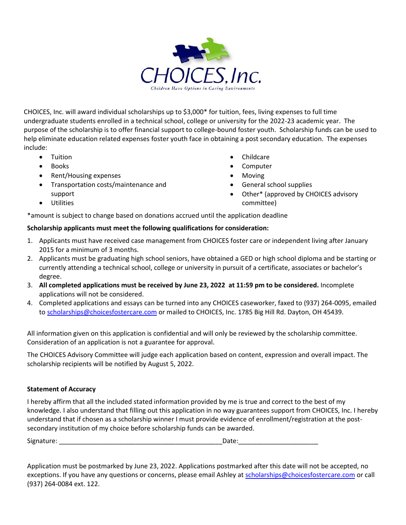

CHOICES, Inc. will award individual scholarships up to \$3,000\* for tuition, fees, living expenses to full time undergraduate students enrolled in a technical school, college or university for the 2022-23 academic year. The purpose of the scholarship is to offer financial support to college-bound foster youth. Scholarship funds can be used to help eliminate education related expenses foster youth face in obtaining a post secondary education. The expenses include:

- Tuition
- Books
- Rent/Housing expenses
- Transportation costs/maintenance and support
- Utilities
- Childcare
- Computer
- Moving
- General school supplies
- Other\* (approved by CHOICES advisory committee)

\*amount is subject to change based on donations accrued until the application deadline

### **Scholarship applicants must meet the following qualifications for consideration:**

- 1. Applicants must have received case management from CHOICES foster care or independent living after January 2015 for a minimum of 3 months.
- 2. Applicants must be graduating high school seniors, have obtained a GED or high school diploma and be starting or currently attending a technical school, college or university in pursuit of a certificate, associates or bachelor's degree.
- 3. **All completed applications must be received by June 23, 2022 at 11:59 pm to be considered.** Incomplete applications will not be considered.
- 4. Completed applications and essays can be turned into any CHOICES caseworker, faxed to (937) 264-0095, emailed to [scholarships@choicesfostercare.com](mailto:scholarships@choicesfostercare.com) or mailed to CHOICES, Inc. 1785 Big Hill Rd. Dayton, OH 45439.

All information given on this application is confidential and will only be reviewed by the scholarship committee. Consideration of an application is not a guarantee for approval.

The CHOICES Advisory Committee will judge each application based on content, expression and overall impact. The scholarship recipients will be notified by August 5, 2022.

#### **Statement of Accuracy**

I hereby affirm that all the included stated information provided by me is true and correct to the best of my knowledge. I also understand that filling out this application in no way guarantees support from CHOICES, Inc. I hereby understand that if chosen as a scholarship winner I must provide evidence of enrollment/registration at the postsecondary institution of my choice before scholarship funds can be awarded.

Signature: \_\_\_\_\_\_\_\_\_\_\_\_\_\_\_\_\_\_\_\_\_\_\_\_\_\_\_\_\_\_\_\_\_\_\_\_\_\_\_\_\_\_\_\_\_Date:\_\_\_\_\_\_\_\_\_\_\_\_\_\_\_\_\_\_\_\_\_\_

Application must be postmarked by June 23, 2022. Applications postmarked after this date will not be accepted, no exceptions. If you have any questions or concerns, please email Ashley at [scholarships@choicesfostercare.com](mailto:scholarships@choicesfostercare.com) or call (937) 264-0084 ext. 122.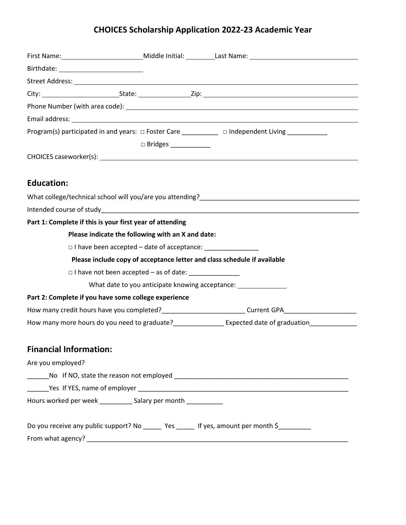# **CHOICES Scholarship Application 2022-23 Academic Year**

| Birthdate: _____________________________                                                  |                        |                                                                                                                                                                                                                                      |
|-------------------------------------------------------------------------------------------|------------------------|--------------------------------------------------------------------------------------------------------------------------------------------------------------------------------------------------------------------------------------|
|                                                                                           |                        |                                                                                                                                                                                                                                      |
|                                                                                           |                        |                                                                                                                                                                                                                                      |
|                                                                                           |                        |                                                                                                                                                                                                                                      |
|                                                                                           |                        | Email address: <u>compare and contract and contract and contract and contract and contract and contract and contract and contract and contract and contract and contract and contract and contract and contract and contract and</u> |
|                                                                                           |                        | Program(s) participated in and years: □ Foster Care ___________ □ Independent Living ____________                                                                                                                                    |
|                                                                                           | □ Bridges ____________ |                                                                                                                                                                                                                                      |
|                                                                                           |                        |                                                                                                                                                                                                                                      |
|                                                                                           |                        |                                                                                                                                                                                                                                      |
| <b>Education:</b>                                                                         |                        |                                                                                                                                                                                                                                      |
|                                                                                           |                        |                                                                                                                                                                                                                                      |
|                                                                                           |                        |                                                                                                                                                                                                                                      |
| Part 1: Complete if this is your first year of attending                                  |                        |                                                                                                                                                                                                                                      |
| Please indicate the following with an X and date:                                         |                        |                                                                                                                                                                                                                                      |
| □ I have been accepted - date of acceptance: ___________________________________          |                        |                                                                                                                                                                                                                                      |
|                                                                                           |                        | Please include copy of acceptance letter and class schedule if available                                                                                                                                                             |
| $\Box$ I have not been accepted – as of date:                                             |                        |                                                                                                                                                                                                                                      |
|                                                                                           |                        | What date to you anticipate knowing acceptance: ________________________________                                                                                                                                                     |
| Part 2: Complete if you have some college experience                                      |                        |                                                                                                                                                                                                                                      |
|                                                                                           |                        | How many credit hours have you completed?____________________________Current GPA__________________________                                                                                                                           |
|                                                                                           |                        |                                                                                                                                                                                                                                      |
| <b>Financial Information:</b>                                                             |                        |                                                                                                                                                                                                                                      |
| Are you employed?                                                                         |                        |                                                                                                                                                                                                                                      |
| $\overline{\phantom{a}}$                                                                  |                        |                                                                                                                                                                                                                                      |
|                                                                                           |                        |                                                                                                                                                                                                                                      |
| Hours worked per week ___________ Salary per month ___________                            |                        |                                                                                                                                                                                                                                      |
| Do you receive any public support? No _____ Yes _____ If yes, amount per month \$________ |                        |                                                                                                                                                                                                                                      |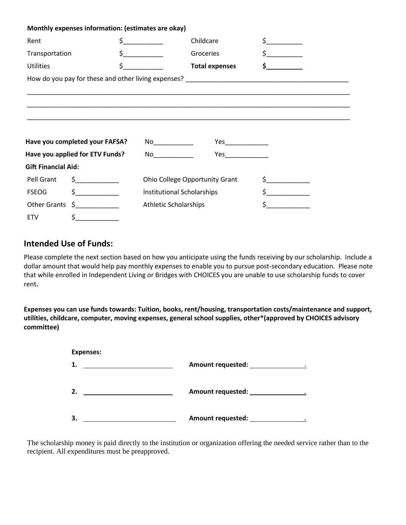|                                 | Monthly expenses information: (estimates are okay)                                                                                                                                                                                                                                                                                                  |                                |                                              |                       |    |  |
|---------------------------------|-----------------------------------------------------------------------------------------------------------------------------------------------------------------------------------------------------------------------------------------------------------------------------------------------------------------------------------------------------|--------------------------------|----------------------------------------------|-----------------------|----|--|
| Rent                            |                                                                                                                                                                                                                                                                                                                                                     | $\frac{1}{2}$                  | Childcare                                    |                       |    |  |
| Transportation                  |                                                                                                                                                                                                                                                                                                                                                     | $\frac{1}{2}$                  | Groceries                                    | $\sharp$ and $\sharp$ |    |  |
| <b>Utilities</b>                |                                                                                                                                                                                                                                                                                                                                                     |                                | $\zeta$ and $\zeta$<br><b>Total expenses</b> |                       | S. |  |
|                                 |                                                                                                                                                                                                                                                                                                                                                     |                                |                                              |                       |    |  |
|                                 | <u> 1980 - Jan James James James James James James James James James James James James James James James James</u>                                                                                                                                                                                                                                  |                                |                                              |                       |    |  |
|                                 |                                                                                                                                                                                                                                                                                                                                                     |                                |                                              |                       |    |  |
|                                 |                                                                                                                                                                                                                                                                                                                                                     |                                |                                              |                       |    |  |
|                                 |                                                                                                                                                                                                                                                                                                                                                     |                                |                                              |                       |    |  |
|                                 | Have you completed your FAFSA?                                                                                                                                                                                                                                                                                                                      |                                |                                              |                       |    |  |
| Have you applied for ETV Funds? |                                                                                                                                                                                                                                                                                                                                                     |                                |                                              |                       |    |  |
| <b>Gift Financial Aid:</b>      |                                                                                                                                                                                                                                                                                                                                                     |                                |                                              |                       |    |  |
| Pell Grant                      | $\frac{1}{2}$                                                                                                                                                                                                                                                                                                                                       | Ohio College Opportunity Grant |                                              |                       |    |  |
| <b>FSEOG</b>                    | $\frac{1}{2}$                                                                                                                                                                                                                                                                                                                                       | Institutional Scholarships     |                                              | $\zeta$ and $\zeta$   |    |  |
|                                 | Other Grants $\zeta$ __________                                                                                                                                                                                                                                                                                                                     | <b>Athletic Scholarships</b>   |                                              |                       |    |  |
| <b>ETV</b>                      | $\begin{picture}(20,20) \put(0,0){\line(1,0){10}} \put(15,0){\line(1,0){10}} \put(15,0){\line(1,0){10}} \put(15,0){\line(1,0){10}} \put(15,0){\line(1,0){10}} \put(15,0){\line(1,0){10}} \put(15,0){\line(1,0){10}} \put(15,0){\line(1,0){10}} \put(15,0){\line(1,0){10}} \put(15,0){\line(1,0){10}} \put(15,0){\line(1,0){10}} \put(15,0){\line(1$ |                                |                                              |                       |    |  |

## **Intended Use of Funds:**

Please complete the next section based on how you anticipate using the funds receiving by our scholarship. Include a dollar amount that would help pay monthly expenses to enable you to pursue post-secondary education. Please note that while enrolled in Independent Living or Bridges with CHOICES you are unable to use scholarship funds to cover rent**.** 

**Expenses you can use funds towards: Tuition, books, rent/housing, transportation costs/maintenance and support, utilities, childcare, computer, moving expenses, general school supplies, other\*(approved by CHOICES advisory committee)**

| <b>Expenses:</b> |                          |
|------------------|--------------------------|
| 1.               | Amount requested:        |
| 2.               | <b>Amount requested:</b> |
| 3.               | Amount requested:        |

The scholarship money is paid directly to the institution or organization offering the needed service rather than to the recipient. All expenditures must be preapproved.